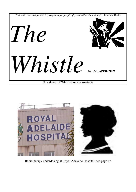



Radiotherapy underdosing at Royal Adelaide Hospital: see page 12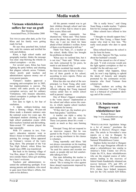# **Media watch**

### **Vietnam whistleblower suffers for war on graft** Ben Stocking

Associated Press, 28 December 2008

THE THUGS came after dark, as Do Viet Khoa and his family were getting ready for bed.

He says they punched him, kicked him, stole his camera and terrified his wife and children.

Khoa, a high school maths and geography teacher, thinks the message was clear: stop blowing the whistle on school corruption — or else.

For several years, Khoa has been fighting the petty bribery and cheating that plagues schools across Vietnam, where poorly paid teachers and administrators squeeze money out of even poorer parents.

Vietnam's leaders approved a sweeping anti-corruption law in 2005, but implementation is uneven. The country still ranks poorly on global corruption surveys, and for ordinary Vietnamese, who treasure education, school corruption is perhaps the most infuriating of all.

Few dare to fight it, for fear of retaliation.

A slight, ordinary-looking man from a farming village, 40-year-old Khoa made a dramatic entrance onto the national scene two years ago. He videotaped students cheating on their high school graduation exams while their teachers watched and did nothing. State-owned TV stations played the tape repeatedly.

With TV cameras in tow, Vietnam's education minister went to Khoa's house to hand him a certificate praising his courage. Khoa appeared on Vietnam's version of the Larry King show. The principal of the Van Tao High School, where Khoa has taught since 2000, was transferred.

But back in his farming village of Van Hoa, about 15 miles (24 kilometers) outside Hanoi, Khoa got anything but a hero's welcome.

Teachers and administrators resented the unflattering spotlight. Even among parents and students, who stood to gain most from Khoa's efforts, few came to his defence.

All the parents wanted was to get their children through school and into jobs, even if they had to cheat to pass their exams, Khoa said.

"The entire community has shunned me," Khoa said. "They harass me on the phone, they send me letters. They say I put my thirst for fame ahead of their children's welfare. Some of them even threatened to kill me."

Thinh Van Nam, 27, a teacher at the school, thinks Khoa has brought his problems on himself.

"Khoa says we isolated him, but it is not true," Nam said. "When someone feels ostracized by his peers, he needs to ask himself why."

Matters escalated last month, when the four men came to Khoa's house two of them guards at his school, according to news reports. Police are still investigating.

Khoa has also run afoul of the new principal, Le Xuan Trung, after sending a letter to national and local officials alleging that Trung imposed various unfair fees to enrich school staff at parents' expense.

One of Khoa's biggest complaints is the "extra classes" implemented at his school and others across the country, in which regular school teachers tutor students for money.

"If they don't go, the teachers give them bad grades," said Khoa.

A teacher can triple a salary by packing students into the sessions. These cost parents about \$6 a week nearly as much as they earn farming rice.

Principal Trung did not respond to an interview request. But he was quoted in the *People's Police* newspaper as saying enrolment in the classes is voluntary.

Trung reportedly said Khoa "did not always concentrate on his teaching and follow the school regulations," and "he used his camera and recorder too much, so people did not feel comfortable talking to him."

One man defending the teacher is Vu Van Thuc, whose son goes to the school. "He is raising his voice against these absurd requirements imposed by the school," he said.

"He is really brave," said Giang Xuan Dung, a maths teacher. "I admire him for his courage and patience."

Other schools have offered to hire Khoa.

"I thought we should support him," said Van Nhu Cuong, a Hanoi headmaster who tried to hire him. "We really need people who dare to speak out."

Khoa refused because the school is too far from his home.

His wife, Nguyen Thi Nga, worries about her husband's crusade.

"This has caused us a lot of stress," she said. "I wish everyone would join the fight against corruption so that we wouldn't be the odd ones out."

No matter what happens, Khoa said, he won't stop fighting to uphold the ideals of honesty and integrity promoted by the communist revolutionaries who freed Vietnam from colonial rule.

"Many teachers are soiling the image of education," he said. "Corruption is a betrayal of communist ideology and of the country."

## **U.S. businesses in Hungary want whistleblower law**

Richard Renner http://www.whistleblowers.org/ 2 January 2009

"WHISTLE-BLOWER legislation brings in a lot of money," proclaims the headline in *Business Hungary* magazine. The article in November's issue reports on a trip to Hungary by Stephen M. Kohn, President of the National Whistleblower Center.

Stephen Kohn traveled to Hungary last fall to urge Hungarian officials to adopt a whistleblower law similar to America's False Claims Act (FCA). Under the FCA, those whistleblowers who are the original source of information leading to the recovery of federal funds fraudulently obtained can recover between 15% and 30% of those funds. Since a 1987 amendment FCA claims have helped taxpayers here [in the US] reclaim \$20 billion.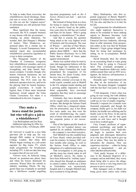To help us make these recoveries, the whistleblowers faced discharge, financial ruin or worse. Even whistleblowers who are not the "original source" of information are still protected from retaliation.

More significant than the money recovered, the FCA compels business to stay honest with the government cleaning up entire industries. No wonder, then, that Hungary's Minister of Justice, Tibor Draskovics, announced plans for a similar law in Hungary. A recent Transparency International report also recommended whistleblower protection legislation as a way to deter corruption.

The Hungarian branch of the Chamber of Commerce recognizes how whistleblower remedies, and even cash awards, will encourage reports of wrongdoing and help honest businesses compete. I wonder, though, why honest American businesses are not promoting the FCA here in their homeland. The FCA routs out the dishonest operators here too, and levels the playing field for honest businesspeople everywhere. It would be logical, then, if these same American businesses would support the False Claims Corrections Act when it is reintroduced in the new Congress.

### **They make a brave stand for justice but who will give a job to a whistleblower?**

Lisa Buckingham and Jon Rees Additional reporting by Ollie Joy *Mail Online* (UK), 14 February 2009

HE THOUGHT it would be a nice little part-time job to help pay his way through PhD studies at University College London. But when Bob Winsor began working as a call centre operator for Big Game TV, which made programmes for broadcasters including ITV, it did not take him long to suspect that all was not well.

Viewers were, he believed, being fleeced on premium-rate phone lines and when his bosses dismissed his concerns, Winsor blew the whistle to industry watchdog Ofcom. He triggered what was eventually to snowball into a full-blown scandal engulfing top-rated programmes such as the *X Factor, Richard and Judy* — and even *Blue Peter.*

But instead of being feted as a hero for trying to expose what he believed to be a massive fraud on the public, four years later he still has not worked and fears for his future. "Who's going to employ a whistleblower?" he asked.

And that is exactly the question being asked at the very highest levels of business and Government. The case of Winsor — and that of Paul Moore, who last week went public with allegations about HBOS — show that the Public Interest Disclosure Act is little better than a shield of tissue paper against mistreatment.

Moore was sacked when he tried to raise risk management failures with the board, though his submission to the Treasury Select Committee last week precipitated the resignation of his former boss, Sir James Crosby, from his new role as a City regulator.

Possible criminal cover-ups in the credit crunch, scandals such as Madoff in the US, rampant insider dealing and a growing public imperative to find those responsible, have convinced regulators that they need to encourage whistleblowers.

Criminals, they have decided, will not be caught unless someone informs on them. But though the Serious Fraud Office, which has a chequered reputation for prosecution, says it has about five cases under way that were the result of whistleblowing, the experience of those who make a public stand for corporate justice is not encouraging.

One of the highest-profile frauds in recent City [of London] history was sparked by an unlikely whistleblower the company's own chief executive.

Neil Mitchell was the youthful boss of Torex Retail, which provided software for retailers. In January 2007, just four months after joining, he went to the Serious Fraud Office to make allegations of a sophisticated scam.

That investigation is still going on and the stress has clearly taken its toll on Mitchell's nerves. He claims to have been followed by "military types" who chased him through an underpass in central London. Friends say a home in Oxfordshire was mysteriously burgled and it is thought Mitchell may have resorted to living abroad.

Harry Markopolos, who first reported suspicions of Bernie Madoff's potential £35 billion Ponzi fraud in the US, has also said that he is in fear for his life.

Legal protection for whistleblowers who might implicate themselves is about to be extended to those making reports to Business Secretary Lord Mandelson's department and the Financial Services Authority, allowing them to offer immunity from prosecution rather in the way that Sir Richard Branson's Virgin group dodged being fined for fixing fuel surcharges by ratting on its co-conspirator, British Airways.

David Donnelly blew the whistle on an accounting fraud at water group Severn Trent by going to *Financial Mail.* This eventually prompted a complete boardroom shake-out, multimillion pound fines and an SFO investigation. He believes self-protection is not the only issue.

Donnelly said: "I had tinkered with the data on the instructions of my bosses. The penny dropped. I grappled with the fact that I was party to a huge fraud.

"I felt desperate. I knew what was going on was wrong, but with children in university and a mortgage to pay I could see no way of simply resigning." Donnelly's requests for a transfer were frustrated repeatedly and though the company finally gave in, his faith was broken, his health was suffering and he finally went to the Press. In the end he secured a pay-off, but he had spent months on sick leave and is thought not to have worked again.

Cary Cooper, professor of organisational psychology and health at Lancaster University, said: "Individuals begin to question their own judgment and interrogate themselves as to why they felt the need to give up job or status. They lose the ability to rationalise the situation. They can experience rejection — either by being sacked or marginalised — and are often labelled untrustworthy.

"And, partly because of a difference in the financial firepower of a company and an individual, they worry about being able to prove the allegations as it can be a very long drawn out process to prove accuracy."

Risk managers such as Moore are being given more senior roles within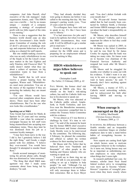companies. And John Hurrell, chief executive of the risk managers' trade organisation Airmic, said: "The HBOS case was a terrific — but by no means unique — example of a company pursuing a strategy of exceptional profit with too little regard of the risks it was running."

There is also a suggestion that the business world should copy an idea from the Government's Joint Intelligence Committee of creating the role of devil's advocate to challenge strategy and corporate behaviour as well as acting as a channel for staff reports.

But one middle-ranking executive, who was an early whistleblower in one of the frauds to hit the Lloyd's insurance market in the late Eighties and early Nineties, told *Financial Mail*: "It really doesn't matter what they say about a culture of openness, no big corporation wants to hear from a whistleblower."

Now fearful that he will never receive a proper hearing from the regulator, Winsor said: "Whistleblowers need more protection. You are at the mercy of the regulator if they are protecting the industry they are meant to regulate.

"I'm sure Ofcom would have received other complaints about those shows. There must have been other whistleblowers. But I'm the one who now looks like a troublemaker."

#### **Speaking out at M&S**

Tony Goode had worked for Marks & Spencer for 25 years and was earning £40,000 a year when he contacted a newspaper because he felt staff were being steamrollered into accepting new redundancy terms. Three days later he was dismissed from his job as a customer loyalty manager.

"I may have been naive in the way I did it, but I genuinely believe I did the right thing," said Goode, a single parent with two children. "I believe they over-reacted. You would have thought I'd attempted to murder Stuart Rose."

Goode accused managers of monitoring his private phone calls, though this was dismissed as "utter nonsense."

"The thing that irked M&S management was that I made some comments about lions being led by donkeys," he said.

"They had already decided they were going to dismiss me before I was called to the meeting that day. My line manager's parting words were, 'Your 25 years count for nothing'."

"Ex-colleagues have been told not to speak to me. It's like I have been sent to Siberia."

"I've had interviews for jobs and I want to be upfront, but when I revealed the M&S circumstances, they went cold. It will be difficult to get a similar iob in retail now."

Goode is working on a six-month contract for the GMB union and is preparing for an employment tribunal over his sacking in May.

## **HBOS whistleblower urges fellow believers to speak out**

Christopher Lamb *The Tablet,* 21 February 2009, p. 42

PAUL MOORE, the former chief risk manager at HBOS who blew the whistle on the bank's risk-taking culture, has said his Catholic faith was key to his decision to speak out.

Mr Moore, who was educated at the Catholic public school, Ampleforth, in North Yorkshire, and now lives near the Benedictine monastery, said his conscience compelled him to contact the Treasury Select Committee with his evidence.

"It was almost as if I was thrown a challenge by God: 'It's time to witness'," he said of the moment he learnt that the former HBOS chief executive Lord Stevenson and former chairman Andy Hornby were to be interviewed by the committee. The following day, 4 February, he phoned the committee and offered to submit his written evidence for their meeting last week.

Mr Moore told *The Tablet* that he believed there were "hundreds and thousands" of other people in the banking and finance industry who are wanting to speak out.

"I would say to them ring me up and I will talk to you personally. I am willing to set up a helpline to help people," he said. "Although I'm not going to force anyone to do anything, I will only encourage them to follow their conscience. But as Joyce Meyer

said: 'You don't defeat Goliath with your mouth shut'."

The 50-year-old former barrister added that he had recently been contacted by Anthony Smith, a Christian and former HBOS manager who spoke out about the bank's irresponsibility on Tuesday.

Mr Moore, who describes himself as an "ordinary" Catholic, said it was important for others to feel they could make a stand.

Mr Moore was sacked in 2005; in his evidence to the Select Committee he said he was fired by Sir James Crosby for arguing that the bank was taking too many risks. Sir James went on to become vice chairman of the Financial Services Authority and resigned last week after Mr Moore's evidence.

Mr Moore said he struggled for months over whether to come out with his evidence. "I didn't want it in any way to be seen as revenge, nor did I want to harm anyone," he said. "I honestly don't have anything against these people."

Mr Moore, a trustee of XT3, a Catholic social networking website, said he rediscovered his faith after leaving HBOS and moving to Yorkshire.

### **When courage is encouraged on the job** G Jeffrey MacDonald

*Christian Science Monitor,*  26 January 2009, p. 13

IN BUSINESS, the difference between a fixable mistake and an irreparable disaster sometimes hinges on whether employees dare to take a stand before habits of wrongdoing become ingrained.

Now experts are casting fresh light on which factors seem to motivate courageous behavior in the workplace. As it turns out, hiring heroes may not be as important as emboldening current employees to raise objections when things don't seem right.

In research published last year, for instance, scholar Janet Near found federal workers privy to wrongdoing were more apt to become "whistleblowers" (reporters of wrongful practices) when they knew exactly where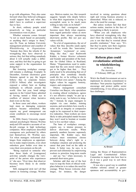to go with allegations. They also came forward when they believed colleagues would support them and when they didn't have to confront a supervisor face to face.

In short, ordinary people acted proactively as long as particular circumstances were in place.

Whether someone comes forward "is not so much based on personality or anything that's unique to them," says Dr. Near, an Indiana University management professor and coauthor of *Whistleblowing in Organizations.*  "Instead, they blow the whistle if: the wrongdoing they have observed is serious; they feel that telling somebody about it will actually make a difference, and they feel they're going to get some support in the organization for doing that."

But fostering workplace courage still remains a challenge. Example: In December, German electronics giant Siemens agreed to pay the largest bribery fine in corporate history (US\$1.6 billion) after investigators exposed a culture bent on feeding kickbacks to officials around the world. Also last year, bond ratings agencies in the United States admitted to having turned a blind eye to conflicts of interest when lucrative deals were on the line.

In those cases and others, workers kept mum as damaging corporate policies became entrenched. But experts say good management can create conditions to encourage moral stands.

In 2004, Emory University organizational psychologist Monica Worline analyzed 650 narrative accounts of onthe-job courage in high technology companies. Most employees described courageous acts performed by others (not themselves), Dr. Worline says. Yet when managers welcomed challenges from employees as opportunities to make improvements, even silent onlookers grew bolder over time to voice their own protests on the job.

"Being exposed to someone who does those kinds of [courageous] activities actually changes the viewpoint of the person who experiences it," she says. "Over time, that observer becomes more likely to do similar actions."

Still, managerial style isn't all that matters in fostering courage, Worline

says. Motives matter, too. Her research suggests "people who deeply believe in what their organization is trying to accomplish seem to be much more willing to take risks on its behalf."

Others find courageous action becomes more likely when organizations regard particular values as more important than always maximizing short-term profits. But not just any values will do.

"In a lot of organizations, the set of values that they describe [and] aspire to will be words like 'innovation,' 'dynamism,' 'excitement' or something like that," says Rushworth Kidder, a former *Monitor* columnist and founder and president of the Institute for Global Ethics in Rockland, Maine. "Organizations need to understand that the core moral values have got to be higher than that. … They really need to be articulating that set of principles that somebody literally could die for, or be willing to die in terms of their own career." Among the higher values he suggests: honesty, respect, and compassion.

Ottawa management consultant Cornelius von Baeyer, who specializes in creating ethical workplaces, agrees it's not effective simply "to put up a sticky note to say, 'we believe in integrity'." Instead, he urges managers to explain via case studies, training sessions, and newsletters how exactly a value such as integrity or compassion ought to be expressed in their respective industries. Then workers are more likely to take principled stands because they won't need to hesitate or wonder how to live out their values.

The bane of workplace courage, experts say, is intense pressure to deliver short-term results. When quarterly numbers become supremely important, Mr. Kidder says, then workers must sometimes choose between doing what's right in a workplace situation and protecting the career that puts food on the table at home. A better way, he says, is to prevent such dilemmas by empowering workers to prioritize long-term results — and say "no," when necessary, to potential short-term gains.

Scholars add that one of the best ways to reap the fruits of ethical workplace behavior is to reduce the need for courage. When bosses welcome challenges, for instance, the danger

involved in raising questions about right and wrong business practice is diminished. When risk is reduced, so also is the need for courage.

But unless workers feel that their actions matter, inaction in the face of wrongdoing is likely to persist.

"When you ask employees who have observed wrongdoing why they don't blow the whistle, what they tell you is not that they're worried about possible retaliation," Near says. "It's that they're pretty sure their organization isn't going to listen to them."

## **Reform plan could revolutionise attitudes to whistleblowing**

AJ Brown *The Australian,*  27 February 2009, pp. 27-28

WHEN the Rudd Government set out to implement its election commitment to introduce "best practice legislation" to encourage and protect public sector whistleblowing, it was always going to face challenges.



AJ Brown

Asking the House of Representatives Legal and Constitutional Affairs Committee to inquire into how best to do it was a good way to sort those challenges.

It was also a good way to establish whether reforms aimed at greater openness and accountability in gov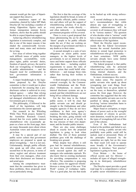ernment would get the type of bipartisan support they deserve.

The unanimous report of the committee, chaired by Labor MP Mark Dreyfus QC but including a number of strong Opposition figures such as former immigration minister Kevin Andrews, shows that the public should be able to expect bipartisan support.

Achieving effective whistleblowing legislation is notoriously complex, and this is one of the major reasons it has eluded the commonwealth Government and many states and territories for so long.

Few areas of reform bring together such difficult issues of public sector management, accountability, workplace rights, public servants' duties, freedom of speech, privacy, the need to flush out wrongdoing or breakdowns in public administration — and the frequent need for confidentiality in how government information is handled.

A major breakthrough in the legislation proposed by the Dreyfus committee is that it would put in place a framework for ensuring that a prodisclosure culture is achieved in every federal agency — rather than relying on legislation to try to protect individual damaged whistleblowers after the Government gets it wrong.

This philosophy, if followed in the detail of the legislation, will help revolutionise the current approach.

Our research in the Whistling While They Work project, funded by the Australian Research Council, showed that for every public interest whistleblower who occasionally appears as a hero on the front page, there are many thousands more about whom Australian voters and taxpayers never get to hear.

It may be a special part of our public sector culture that government employees are prepared to speak up about wrongdoing — but it is not rare. Unfortunately, though, public officials who speak up still often come off second-best in the process, in terms of stress, neglect and adverse treatment from their own managers, often even when their disclosures are listened to and acted upon.

Among the comprehensive treatment that the committee has given to these problems, three proposals stand out as particularly strong.

The first is that the coverage of the legislation should be broad, in terms of which public officials, public contractors and others will get the support of whistleblowing schemes. If in doubt, every person who works directly and often indirectly — in Australian government programs will be covered.

There is even a good proposal that those administering the act be able to "deem" people to be public officials under the act, if they are working on the margins of government and there is any doubt as to their status.

A second strength is a suite of new obligations on senior public sector managers, to the highest levels of government, to act on internal disclosures and better support those officials who make them — including explicit requirements to assess the risks of adverse action that could befall whistleblowers — and manage those risks rather than leaving their welfare to chance.

A third strength is a plan for strong external oversight, by the Commonwealth Ombudsman and the Workplace Ombudsman, to ensure that internal disclosure systems are up to scratch and that whistleblowers are not being left as collateral damage.

For the first time in the federal public sector, it will be clear that public servants can and should go straight to the Ombudsman and other integrity agencies if they do not have confidence in their own agency's response. Rather than feeling they are breaking the rules, going outside will be recognised as an act of loyalty to the true mission of their own department, and the broader public interest.

There are also some challenges ahead in exactly how the proposed legislation is going to look when drafted. The first of these potential problems goes with the challenge of breaking new ground.

When despite best efforts it still goes bad for internal whistleblowers, we know that criminal prosecutions rarely succeed against any staff or managers who undertake reprisals. We also know that no existing mechanism for providing compensation is very effective. The committee is proposing to make justice for aggrieved whistleblowers a strong part of the new "Fair Work" system of workplace rights. This is a good plan, but one that needs

to be backed up with strong enforcement.

A second challenge is the committee's recommendation that while almost any type of wrongdoing or defective administration will be covered, in all instances they will need to be "serious matters." The question of who decides what is "serious" could have a large impact on determining the effectiveness of the legislation.

Third, the Dreyfus report recommends that the federal Government become the second Australian jurisdiction to extend legal protection to whistleblowers who go to the media at least sometimes. NSW public servants already have some limited protection in this respect.

The federal proposal is that public whistleblowing only be protected where used as a last resort — after first trying internal channels, and the Ombudsman, without success.

In most circumstances this restriction makes sense. The majority of public servants who speak up about wrongdoing just want things fixed. They usually have no great desire to see the issue, or themselves, splashed across the front page. However, the committee has suggested that the only matters that public servants can ever be justified in taking public are ones involving "serious immediate harm to public health and safety."

Major fraud or corruption, or major abuses of power such as the wrongful imprisonment of citizens in government detention, would be just some of the types of wrongdoing left out of this part of the scheme.

Even if the Ombudsman had looked at the problem and failed to act, or got it wrong, a public servant who justifiably went public could still be sacked, sued or prosecuted. Many of the principles discussed by the committee are right, but on this issue the final result will need to operate more broadly if the Government's promise to introduce "best practice" legislation is going to be met.

Even Britain — the home of official secrets and *Yes Minister*  includes all types of alleged wrongdoing in its third-party whistleblower protection.

The Dreyfus report provides a good road map for a comprehensive scheme of public sector whistleblower protec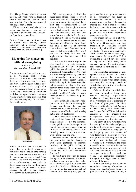tion. The parliament should move on all of it, and by following the logic and spirit of the report as a whole should also be able to find solutions to special challenges such as these.

If it succeeds, the result should be a major step towards a new era of responsible government and strengthened public accountability.

Dr A. J. Brown, professor of public law at Griffith Law School, Griffith University, led a national research project on public sector whistleblowing (www.griffith.edu.au/whistleblowing).

### **Blueprint for silence on official wrongdoing** Bill De Maria

*The Australian,* 2 March 2009

FOR the women and men of conscience in the Australian public service, February 25 will be noted despondently as a day when their parliamentary representatives again failed to step up to the plate and protect people who wish to disclose official wrongdoing. On this day a parliamentary committee published its report on new commonwealth whistleblowing proposals that will proceed languidly to parliament for consideration.



Bill De Maria

This is the third time in the past 15 years that a national government committee has tried to hold the burning coals of whistleblower protection. But this committee report cries "ouch!" the loudest. It is mean and narrow in its vision, embarrassingly conservative in its proposals and will do nothing more then send commonwealth whistleblowers, like lab rats, into management-controlled bureaucratic mazes.

What are the deep problems that make these official efforts to protect Australians who wish to speak truth to power so wantonly incompetent? For a start, the recommendations are not alive to the fact that people in Australia are dead scared to report wrongdoing, notwithstanding the fact that whistleblower legislation has been on state statute books in Australia since 1993. On the international level a new PricewaterhouseCoopers study found that only 8 per cent of surveyed companies attributed fraud detection to their whistleblower systems (up from 3 per cent in 2005). This was only slightly higher than fraud detected by accident.

Very low disclosure figures are also found in our state corruption fighters. In 2007-08 only 74 verifiable public interest allegations under the Queensland Whistleblower Protection Act 1994 were processed by the Crime and Misconduct Commission and Queensland public sector agencies. Whistleblowing in the West Australian public service is also a low-level activity three years after the Public Interest Disclosure Act 2003 was enacted. In 2006-07 only 13 people made protected disclosures to public authorities.

These minimalist disclosure statistics from three Australian corruption fighters complement the abundant international research insight into why employees steadfastly avoid making public interest disclosures.

The whistleblower committee that engineered this bland little document simply cannot see that the commonwealth public sector landscape is not one of robust public interest voice but of deep self-protecting silence. And throwing more bureaucracy at them won't change this one iota.

Here are some of the hot coals that this committee couldn't handle. It won't give protection to ordinary members of the public wishing to report instances of commonwealth wrongdoing. What does the committee fear here?

It won't give protection to people fed up with bureaucratic obstruction and harassment who go to the media. The committee says it will give such protection. But like a child on the back step at night, the committee did not venture forth. The only way you will

get protection if you go to the media is if the bureaucracy has taken an unreasonable amount of time to process your complaint (whatever that means) and it is a matter of public health or safety. So, unless you know of some bureaucrat pouring bubonic plague into your river, forget about going to the media.

This media embargo is in all whistleblower laws in Australia except the NSW one. Governments are very threatened by journalists properly instructed by whistleblowers with the inside stuff. Thus, when we get another AWB scandal or Haneef-type allegation against the Australian Federal Police, the media will have to continue to rely on backdoor leaks, which seriously hamper this central democratic institution fulfilling its accountability role.

The committee embraced a managerialist-driven model of whistleblowing, against the international research evidence, when other options were available, including a model of whistleblowing as a form of collective public servant dissent.

Only two decades ago whistleblowers were pilloried as loose moral canons creating organisational mayhem and threatening loyalty bonds in the workplace. This is evidenced by the titles of past papers including: "Police who Snitch: Deviant Actors in a Secret Society" and "Whistleblowers: Saint or Snitch?" Now their ethical services are being integrated into management orthodoxy. Whistleblowing is coming in from the cold.

The story of how whistleblowing has emerged as the darling of governments and corporations busy engineering anti-corruption campaigns is an intriguing one. An account of whistleblowing's makeover provides through-the-keyhole insights into one of the most fundamental changes occurring in the workplace, the attack on — if not the slow burn down of collective forms of workplace dissent. So whistleblowing is what you have when you no longer have a collective voice. The committee shamefully disregards this bigger trend in favour of more of the same.

What went wrong? For a start the committee (Standing Committee on Legal and Constitutional Affairs, to give it its full title) was not only a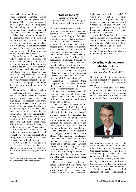backbench committee, it was a very young backbench committee. Half of its members came into parliament at the end of 2007. At the announcement of the inquiry (July 10, 2008) these five (including the chair of the committee, Mark Dreyfus) only had five months' parliamentary experience.

Other than its policy immaturity the committee may well have had serious distractions. For most of the life of the committee, one member Kevin Andrews, did not know whether he would face improper behaviour findings by the Clarke Inquiry into the case of Dr Mohamed Haneef.

Sophie Mirabella, the member for Indi, was also on the committee. Was the fact that she attended only one out of 10 public hearings of the committee related to the presence on the committee of Belinda Neal, the member for Robertson, who was found by the House of Representative Standing Committee on Privileges to have acted below the standards expected of politicians when she told pregnant Mirabella that her baby would be born "a demon."

The committee could have made a real achievement here. It could have been instructed by successful overseas schemes. It could have lessened its overt reliance on research inputs from a university project that on the researchers' own admission had flaws in the methodology. It could have consulted much more widely in the community. The first parliamentary inquiry into commonwealth whistleblowing in 1994 attracted 102 witnesses and 125 public submissions. This time, the committee had only 71 public submissions and 77 witnesses.

All we can hope for now is that the parliament rises to the occasion and seriously renovates this proposal into a strong response to assist all Australians who care about official integrity.

However, if this proposal released on February 25 becomes law, my advice to commonwealth whistleblowers of the future is to keep your mouth shut.

Dr Bill De Maria lectures at University of Queensland's business school.

### **State of secrecy**

Caroline Overington *The Australian,* 24 March 2009, p. 9 [extract, on whistleblower laws]

The whistleblower laws are likely to be informed by the findings of a legal and constitutional affairs committee headed by Mark Dreyfus QC. That committee suggests that whistleblowers first take their concerns to a superior of some kind (and, in the process, probably wreck their career); and, if that doesn't work, they should complain to an external body such as the Commonwealth Ombudsman (a process that is itself likely to be a bureaucratic nightmare, befouled by politics). If — or when — that fails, the whistleblower must wait a reasonable period (whatever that may mean) before taking their concerns to journalists, and then only if the matter concerns "an immediate and serious threat to public health and safety."

According to Dreyfus, these changes would "transform the culture of the public service and protect whistleblowers from reprisals.'

In fact, whistleblowers would still have to jump through hoops and lawyers would have a field day trying to decide what constitutes an immediate and serious threat.

This newspaper wonders: would airport security qualify? After all, it was *The Australian* that in 2005 published details from an internal Customs report that revealed lax security and drug-smuggling rings at several airports, leaving the country vulnerable to terrorism. The report had been ignored by internal officials for two years before it eventually was leaked to the newspaper. No journalist was dragged to court but Customs official Allan Kessing was charged, convicted and sentenced to nine months' jail, later suspended. He lost his job and is fighting an appeal, which has cost him his savings, all while protesting his innocence. *The Australian* has never given up its source. Its view is simple: the story was correct and in the public interest, and therefore was published.

University of Queensland business school lecturer Bill De Maria has described the planned reform of whistleblower law as "mean and narrow in its vision" and "embarrassingly conservative in its proposals." "It won't give protection to ordinary members of the public wishing to report instances of commonwealth wrongdoing," he says. "It won't give protection to people fed up with bureaucratic obstruction and harassment who go to the media."

Australian Press Council chairman Ken McKinnon agrees, saying: "The future situation will be hardly better than it is today. Whistleblowers know that their best and quickest chance of rectifying corruption, waste and general governmental incompetence is to go directly to the press."

## **Overdue whistleblower shields on table**

Mark Dreyfus *The Australian,* 27 March 2009

BLOWING the whistle, or speaking out against suspected wrongdoing in the workplace, can be a risky course of action.

Whistleblowers often face harassment and threats, have their authority undermined, miss out on promotions and in some cases are forced to leave or are sacked from their positions.



Mark Dreyfus

Last month, I tabled a report of the legal and constitutional affairs committee in the House of Representatives that recommended a comprehensive whistleblowing scheme for the commonwealth public service.

This report, currently being considered by the Government, will lead to the strongest whistleblower protection regime in any Australian jurisdiction.

Despite Australia's very high standards of public administration,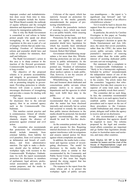improper conduct and maladministration does occur from time to time. Recent examples include the Australian Wheat Board scandal, the outbreak of equine influenza and the wrongful detention and deportation of Australian citizens by immigration authorities.

This is why the Rudd Government is committed to real reform to better protect people who speak out about wrongdoing in the public service. Legislation in this area is part of a set of integrity reforms that are under way, including Freedom of Information reform and journalist shield laws and codes of conduct for ministers, their staff and lobbyists.

The Rudd Government's action in this area is in sharp contrast to the inaction of the Howard government. Commonwealth legislation in this area is long overdue.

The objective of the proposed scheme is to promote accountability and integrity in government. Public interest disclosures play an important role in promoting integrity in government. Providing protection to whistleblowers will create a system that encourages disclosures of wrongdoing and provides a means for dealing with wrongdoing.

The report recommends a model for disclosure first to the relevant agency, then to an external agency such as the Commonwealth Ombudsman.

This matches current practice and is commonsense. Almost all whistleblowing occurs through internal channels, despite the absence of protection against criminal and civil action.

The committee also recommends that protections for whistleblowers should include immunity from criminal liability, from liability for civil penalties, from civil actions such as defamation and breach of confidence, and from administrative sanction. The right to make a disclosure should also be defined as a workplace right, with recourse to the Commonwealth Workplace Ombudsman. As well, the report recommends protection for disclosure to members of parliament, legal advisers, professional associations and unions for certain purposes, and the media in limited circumstances.

Criticism of the report, which has narrowly focused on protection for disclosure to the media generally misunderstands the purpose of protecting whistleblowers.

It reflects the journalistic instincts of sourcing a story, which may result in a net public benefit, while ensuring their source has protections.

Protections for the media and their sources are rightly the subject of journalist shield laws, legislation for which has recently been introduced into the parliament by the Attorney-General, Robert McClelland.

Government whistleblowing encapsulates a lot more than this. Whistleblowing protections are not just about access to public information. As the NSW Council for Civil Liberties pointed out, "freedom of information laws should ensure that information about (policy) options is made public. That, however, is not the concern of whistleblower protection."

Whistleblowing, by definition, is first and foremost about dedicated and conscientious public servants whose primary motive is to ensure the departments and the agencies in which they work fulfil their duty to the public.

Because of this, the committee recommended that in certain cases, after the matter has been disclosed internally and externally but no action had occurred to remedy the situation, then public interest disclosures to the media should be protected, but decided against recommending the media should be used for first-line disclosures.

As the committee pointed out, there are good reasons for this. Requiring internal disclosure as a first step guards against interference with investigations and ensures natural justice for those against whom complaints are made.

In addition, the media lacks a structured and rigorous system of investigating disclosures. The model for disclosure to the media that the committee chose is similar to that recommended by the Community and Public Sector Union. Interestingly, the coverage of this issue has largely ignored the strong support that has come from the CPSU.

The response to the report from the union whose job is to protect the workplace rights of public servants

was unambiguous — the report is "a significant step forward" and "addresses all the elements of an effective whistleblower scheme."

Yet it would be hard to discern this support from the coverage of this issue in the media.

In particular, the article by Caroline Overington in this paper on Tuesday was selective in its use of sources.

Overington's decision to quote the Media Entertainment and Arts Alliance, the union that covers journalists, rather than the CPSU, the union that covers public servants, reflects the journalist's imperative of sourcing stories rather than the wider public interest of assisting dedicated public servants sort out wrongdoing.

Her statement that a complaint to the Commonwealth Ombudsman is "likely to be a bureaucratic nightmare, befouled by politics" misunderstands the independent stature of one of the most highly respected public agencies in the country. The article states that the committee "suggest(s) that whistleblowers first take their concerns to a superior of some kind (and, in the process, probably wreck their career)."

The committee did no such thing. In fact, the committee recommended that the onus is on each agency head to establish public interest disclosure procedures and to report on the use of these procedures to the Commonwealth Ombudsman and, where appropriate, delegate staff within the agency to receive and act on disclosures.

It also recommended a range of other obligations that agencies should be required to meet. The reforms proposed by the legal and constitutional affairs committee are important and go further than legislation already in place in Australian states and territories, and many other countries.

Mark Dreyfus QC MP is the federal member for Isaacs and the chair of the House of Representatives Legal and Constitutional Affairs Committee.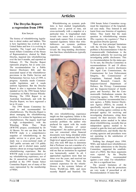# **Articles**

## **The Dreyfus Report: a regression from 1994**

#### Kim Sawyer

The history of whistleblowing legislation is about snakes and ladders. This is how legislation has evolved in the United States and how it is evolving in Australia. The Legal and Constitutional Affairs Committee of the House of Representatives, chaired by Mark Dreyfus, inquired into whistleblowing over the last 8 months, and reported on February 25. The Dreyfus Report represents progress, but at some cost. The recommendation for a Public Interest Disclosure Bill, and the associated repeal of the whistleblower provisions in the Public Service and Parliamentary Service Acts of 1999, is progress. Australia needs Commonwealth legislation, and it needs uniform legislation. But the Dreyfus Report is also a regression from the standard set by the 1994 Senate Select Committee on Public Interest Whistleblowing. The 1994 Report is an Australian benchmark, and with the Dreyfus Report, we have regressed a lot in 18 years.

The 1994 Senate Committee listened to and recommended for whistleblowers. The Dreyfus Report is about managing the whistleblowing problem. It is written for legislators not whistleblowers. The inquiry itself had a high co-dependency with the<br>Whistling While They Work Whistling While (WWTW) project, coordinated by Dr AJ Brown. No one can deny that the WWTW study is a comprehensive snapshot of whistleblowing in the public service in a given year. The study was a cross-sectional study of 7663 public servants and 118 public agencies and it elicited many useful statistics about an average hypothetical whistleblowing experience. But the WWTW study is not representative of my whistleblowing experience, nor of the 16 unresolved cases which were profiled in the 1995 Senate Select Committee Report, nor of many of the cases represented by the membership of WBA.

Whistleblowing on systemic problems is best studied longitudinally, namely over a period of time, not cross-sectionally with a snapshot at a particular time. A longitudinal study reveals two issues that a cross-sectional study cannot. First, it reveals the repeated regulatory failure that whistleblowers on systemic problems typically encounter. Secondly, it reveals the long-standing discrimination that these whistleblowers typically experience.



Kim Sawyer

My own whistleblowing experience taught me that regulatory failure is the main problem for a whistleblower on a systemic problem: the auditor who prefaced his report with the words "Under the direction of senior management"; the auditor-general who was not concerned when financial documents were being shredded while an audit is being conducted; the Visitor [high-level appeal person for a university] who took 400 days to determine that a Professor was not a member of a university; the education regulator who told me that an institution he regulated was hermetically sealed. In all, I approached regulators more than ten times over the years, and received ten non-responses. That has been the common experience for the whistleblowers in the systemic failures of Enron, WorldCom, HIH, and more recently Madoff and Stanford. The

1994 Senate Select Committee recognised the importance of the longitudinal case study. They listened to and learnt from case histories of regulatory failure. They learnt that the main question in whistleblowing remains *Who regulates the regulators?* That is the question Dreyfus ignored.

There are four principal limitations with the Dreyfus Report. The main problem is Recommendation 4 that the Commonwealth Ombudsman is the authorised authority for receiving and investigating public disclosures. This is a recommendation for the status quo. To be sure, the Dreyfus Committee in recommendations 18 and 19 allows other agencies to receive disclosures (the Aged Care Commissioner, the Commissioner for Law Enforcement Integrity, the Commissioner of Complaints, National Health and Medical Research Council the Inspector-General Department of Defence, the Privacy Commissioner and the Inspector-General of Intelligence and Security). But the Commonwealth Ombudsman remains the overseeing agency. The 1994 Senate Select Committee recommended that a new agency, a Public Interest Disclosure Agency (PIDA), be created. It specifically rejected the proposition that an existing agency continue as the principal agency for receiving and investigating disclosures, citing three reasons for their decision: first that immediate action needed to be taken about whistleblowing, secondly that an independent agency needed to be created to gain the trust and confidence of whistleblowers, and thirdly that the existing agencies and procedures were not operating to the satisfaction of whistleblowers.

Nothing has changed since 1994. WBA, and indeed most whistleblowers who made submissions to the Dreyfus Committee, supported the establishment of a PIDA. But these arguments were rejected by the Dreyfus<br>Committee. They recommended Committee. They recommended against a new order. For whistleblowers, this is a significant loss.

The second limitation of the Dreyfus Report is that the protections are very weak, if prescribed at all. Recommendation 14 states that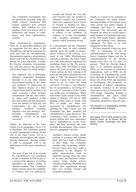The Committee recommends that the protections provided under the Public Interest Disclosure Bill include immunity from criminal liability, from liability for civil penalties, from civil actions such as defamation and breach of confidence, and from administrative sanction.

These protections are meaningless. There are no prescribed penalties and no suggestion that the career of the whistleblower should be monitored for some time after the whistleblowing. Discrimination against a whistleblower doesn't end with the whistleblowing; it persists for years afterwards. Contrast the Dreyfus committee recommendation with just some of the protections in the False Claims Act which include

Any employee who is discharged, demoted, suspended, threatened, harassed or in any other manner discriminated against in the terms and conditions of employment by their employer because of a False Claims action shall be entitled to all relief necessary, which includes reinstatement with the same seniority status such employee would have had without the discrimination, twice the amount of back pay and compensation for any special damages sustained including litigation costs and attorneys' fees. Secondly, whistleblowers are entitled to 15-25% of the fraud recovered.

Thirdly, the dismissal of the False Claims Act in paragraphs 5.44 to 5.52 is lamentable. The Committee ignored so much international evidence on the role of the False Claims Act as a combined anti-corruption and whistleblowing framework, choosing instead to refer in paragraph 5.50 to the deliberations of this same committee in 1989

The issue of qui tam–style rewards for whistleblowers was considered by this Committee in 1989 as part of a review of the adequacy of existing legislation on insider trading in financial markets. That Committee heard concerns about the credibility of evidence that was induced by

rewards and formed the view that such rewards were not suitable in Australia's context: The Committee rejects any suggestion that a system of rewards or bounties be introduced in Australia. Such a system is incompatible with current attitudes in relation to the credibility of evidence. It is also incompatible with accepted principles and practice within Australian society.

It is unacceptable that the Committee would refer back to such outdated material, given the wealth of contemporary evidence to the contrary. As I noted at the 2008 Whistleblowers Australia conference, the False Claims Act is the most effective legislation for combating fraud on the US government. Since 1986, \$20 billion of fraud money has been recovered, and False Claims actions are now running at 50 times the rate before amendments were made in 1986. The deterrent effect of the False Claims Act has been estimated to be 10 times the fraud recovered. It is also a cost effective; the US government is recovering \$15 for every \$1 invested in False Claims Act health care investigations. While most False Claims actions in the 1980s related to defence, 630 out of 1000 pending actions relate to health, with 46% of health care fraud now uncovered by whistleblowers. By ignoring the False Claims Act, the Committee has done Australia and whistleblowers a great disservice. The Committee's final comment in this section reflects their poor understanding of whistleblowers in the workplace, and their persistent and often invisible discrimination. They express the view (paragraph 5.60) that

Australia's honours system should continue to recognise and celebrate those who have made a difference in their fields. The Committee considers that recognising whistleblowers where they have made a contribution to the integrity of public administration sends an important message about the value of an open pro-disclosure culture. Agency heads should actively consider recognising whistleblowers within their organisation through their own existing rewards and recognition programs.

Finally, as I noted in my testimony to the Committee, the major whistleblowing problems in this country occur when private and public funding is combined and there is maximum discretion. The universities and the hospitals are where we would expect a large number of whistleblowing cases. In the 1994 Senate Report, education, health and banking were separately referenced. Yet there is no such recognition in this report.

We have regressed a long way since 1994. A comparison of the 39 recommendations of the 1994 Senate Select Committee Report and the 26 recommendations of the Dreyfus Report show how far we have regressed. With the Dreyfus Report, there is no education program, no PIDA, no involvement of community organisations such as WBA in the overseeing of whistleblowing procedures (through the Board), no clearing house role of the PIDA and separation of investigation and protection, no involvement of industry ombudsmen, no specific reference to the private sector and no tort of victimisation. The 1994 Senate Committee listened to whistleblowers and learnt about regulatory failure. The Dreyfus Committee should have done the same.

Kim Sawyer is a longstanding member of Whistleblowers Australia.

See pages 5-9 for other articles on the Dreyfus report, by AJ Brown, Bill De Maria, Carolyn Overington and Mark Dreyfus.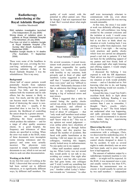## **Radiotherapy underdosing at the Royal Adelaide Hospital**

Geraldine Macdonald

- RAH radiation investigation launched (*The Independent,* 25 July 2008)
- Wrong doses of radiation given to patients at Royal Adelaide Hospital (*The Advertiser,* 25 July 2008)
- Five lives cut short in radiation bungle at Royal Adelaide Hospital (*The Sunday Mail* (South Australia), 11 September 2008)
- Radiation bungle results in 14 deaths (*The Australian,* 11 September 2008)

These were some of the headlines in the papers last year, covering the twoyear-long underdosing of patients receiving radiation therapy at the Royal Adelaide Hospital. I was the whistleblower. This is my story.

#### **Background**

About half of cancer patients would potentially benefit from radiation therapy. Delivering the correct dose is crucial. Too little, and the patient endures both the treatment and its side effects but the tumour is likely to recur. Too much, and the side effects can become much worse. The likelihood of destroying the cancer is nonlinear with dose — usually, if the prescribed dose is too low by a few percent, the likelihood of controlling the cancer drops by a greater amount.

Physicists are responsible for calibrating the linear accelerators which produce the radiation — and for a range of other quality assurance checks. In a good hospital, the frequency and tolerances of these checks are specified in writing. When the error was made at the RAH, many of these documents were incomplete (some missing tolerances and frequency) and some were actually incorrect. The physicists were expected to simply remember which documents to use, which to not use and when to seek out other documentation.

#### **Working at the RAH**

In my first few years of working at the RAH<sub>, I</sub> discovered that several checks had been carried out to different tolerances, or in significantly different ways, by different staff members. The quality of work varied, with the potential to affect patient care. Thus far though, I had not experienced that it had. But I worried about what might happen.



Royal Adelaide Hospital

On several occasions, I raised inconsistent work practices and errors with the person responsible for quality assurance, Lee Lesley, who reacted with hostility to my concerns, both privately and in front of other staff members. Lesley suggested to other staff that I "created problems where there were none" and was "difficult to work with." Reluctantly (because it felt like an admission that things were not right in my workplace) I started keeping a log of technical errors and near misses.

When I suggested that a table be created listing the quality checks carried out, along with their tolerances and frequencies, and offered to compile it, Lesley suggested — in front of about 10 colleagues — that "only weak staff members need written instructions" and that "professional" staff "know what to do." This was in my opinion not sound judgement even airline pilots have checklists of items they must go through before each flight, and this practice has reduced the number of accidents. But faced with public humiliation at the meeting, I did not argue my case. My colleagues, watching this happen, mostly looked away in embarrassment. No-one spoke out in my support.

Other staff members started avoiding me. When Lesley was not around they would prefer to not talk to me, avoiding eye contact. One night after work, when I met her after everyone else had gone home, one colleague said "I wish I could say something but I'm afraid I'll be treated like Lee treats you." Another called Lesley's behaviour towards me "venomous." As other staff were increasingly reluctant to communicate with me, even about work, my professional life was moving towards untenable.

At this time, the stress I was under at work was definitely affecting me at home. My self-confidence was being eroded by the constant criticisms and the isolation at work. I would come home from work and just want to go to bed to not have to think about my situation at work. Looking back, I was starting to suffer from depression. And yet I knew I was right — the varying work practices and quality checks which were not carried out adequately posed a real risk to patients. If it had not been for the unfaltering support of my partner and best friend, both of whom spent night after night listening and offering support, I would simply have broken down.

I discussed the bullying I was exposed to with the HR department. Their advice was that if I complained, my situation at work would probably worsen — and so I decided not to. Not knowing what else to do, and hoping that the bullying would not escalate, I kept doing my job.

Around this time, I read Tim Field's excellent book *Bully in Sight* about workplace bullying. Reading it was something of a revelation — in more sections than I care to remember, I thought "that's exactly what's happening to me!" The book helped me understand what was happening, and sadly anticipate what happened next. I would recommend it to anyone who thinks they're experiencing workplace bullying.

#### **Discovering the error**

Then, as I was working on a software commission with a colleague, Chris, we discovered the underdosing error. It was not discovered by the quality control checks designed to detect it, but by accident. It took us several nights to make absolutely sure an error had been made, and to piece together how it had happened.

The amount of radiation output by a radiotherapy treatment machine is very stable — as might well be expected. At the RAH, it was measured once a year, and usually varied by less than 0.5%. Because the measurement was so crucial, it would usually be carried out by two staff members — independent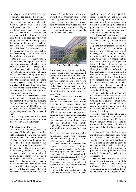checking is crucial in radiation therapy to minimise the likelihood of errors.

However, in 2004 the measurement was carried out by a single staff member. Lesley, who should have participated as the second staff member, chose to remain in the office. The staff member who carried out the measurement followed written instructions but had no idea that what was being measured would directly affect the output of the treatment machine, nor what the previously-measured values had been. The value obtained in this measurement is now accepted to have been wrong — 5% different from the previous year's reading.

Being in charge of quality control, Lesley knew the importance of what was being measured, and had access to previous values. A 5% change in a crucial parameter which usually varies very little should have rung loud alarm bells. Nonetheless, the highly unlikely result was not questioned and Lesley had the computer-based treatment planning system changed, which in turn changed the actual radiation dose received by the patient. From that day, patients treated at that treatment suite were underdosed by 5%.

In 2005, the measurement was carried out again — correctly this time. The measured value was 5% different from the 2004 value but agreed well with the value from 2003. Despite this, the error was not corrected and the underdosing continued for a second year.

On 21 July 2006, before the 2006 measurement was done, the error was discovered by Chris and myself.

#### **After discovering the error**

As soon as we were sure of what had happened, Chris and I spoke to senior staff, including Lesley, and the error was corrected. Chris and I discussed whether the error would be communicated to other staff, especially the doctors responsible for the treatment of the patients — Chris, who was relatively recently employed at the RAH, believed it would be communicated accurately and openly. I suspected it would not. I believed that, at the very least, the radiation oncology doctors whose patients had been underdosed must be told. I also thought it advisable to tell the physicists what had happened so they might learn from the

mistake. The radiation therapists who worked on the treatment suite — who were surprised that suddenly, all the patients on their machine had to have their treatments recalculated and that all the new doses came out 5% higher asked questions but were generally not told what had happened.



Royal Adelaide Hospital

I struggled to accept the continuing silence about what had happened. I discussed it at length with Chris, who held out hope that Lesley "would do the right thing" as Chris put it. We agreed that if the error had not obviously been communicated to the doctors a few weeks later, we would discuss it with a more senior manager, Kerry Jones.

I was aware of the error and its likely consequences on patient survival. A treatment suite would typically have treated about 500 patients in a year. The precise number of patients who would not be cured is difficult to determine: one estimate based on model parameters suggested 10% of those patients who would otherwise have been cured would now not. The numbers were simply frightening. That was about 50 patients who might now not recover from their cancer.

I discussed the matter with a specialist in radiation biology, who confirmed that the underdosing would probably affect patient survival rates.

I tried putting the numbers into context. I read about radiation incidents and accidents. The Johnston Archive (http://www.johnstonsarchive. net/nuclear/radevents/radevents1.html) provides a comprehensive list. Apart from Hiroshima, Nagasaki and Chernobyl, the greatest number of deaths attributed to a single radiation incident or accident is 18.

Meanwhile, my professional life continued to worsen. Lesley avoided

speaking to me whenever possible, criticised me to my colleagues and scrutinised my work very closely. I and my immediate colleagues were banned from attending meetings on a particular type of treatment which we participated in. It was becoming nearly impossible for me to do my job.

I felt very saddened and worried by the error and its likely consequences, frustrated at the way in which the error was apparently not discussed and desperate that my professional life was being made all but impossible by Lesley. In my profession, it is difficult to change jobs — very few employment opportunities exist. Where would I go? And I felt deeply saddened at the way almost all of my colleagues saw Lesley's blatant bullying of me and turned a blind eye. A few did not although they did not confront Lesley they continued to speak to me, and to socialise with me — these were not always the people from whom I would have expected such brave behaviour, but they helped me retain some belief in other human beings — something which is often difficult for victims of workplace bullying.

A few weeks later, the doctors still did not appear to have been told what happened. I discussed it with Chris who had had a change of mind. Chris no longer wanted to ask Jones to ensure the error was communicated to the doctors. The following week, I did it myself, in writing.

Having received my letter, Jones summoned me and said "now that you've put it in writing, I'll have to take it seriously." Jones assured me the matter would be taken seriously and dealt with. I dared to hope this would be true.

A few weeks later, Lesley accused me of making a technical error which had affected patient treatment. This was done in writing, and then brought up in a meeting attended by about 10 colleagues. What had actually happened was that I had encountered a problem, but the problem had been resolved. Patient safety had not been compromised.

The other staff members involved in the matter confirmed my version of the story — in writing — but it made no difference. When I tried explaining what happened in the meeting, Lesley talked over me, with a big smile. After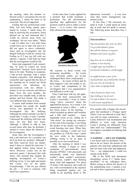the meeting, when the minutes reflected Lesley's accusation but not my explanation, I asked for them to be corrected. This never happened.

Feeling that my professional credibility was now being openly questioned by Lesley, I asked Jones for help in resolving the accusation. Jones phoned me up and instructed that I would be moved away from my workplace "for my own safety." When I said I'd rather not I was told Jones would force me to take sick leave if I did not agree to move voluntarily. Jones said an investigation into the alleged bullying would be carried out. Feeling as if I was not left with any options, I agreed. I still held out hope that the investigation would be fair.

Jones also suggested I seek counselling "to learn to control my facial expressions" because Jones perceived them to be rude. Wanting to cooperate, I had several meetings with a senior hospital counsellor. And although the counsellor and I agreed that the idea of her teaching me to control my facial expressions was ridiculous, my conversations with her offered a chance to air my concerns and discuss them. Over the next months, she provided very valuable help, as did my partner and best friend, who made a very difficult time easier to bear.

A senior staff member from outside the hospital but inside the health service was appointed to do the investigation into the bullying. Although his initial estimate was that it would take 3 weeks, it took 5 months. I discussed the bullying with him only once, for less than two hours. Although I offered to talk to him several times after that, he declined. I started to worry about the fairness of his investigation.

Some time into the investigation I had a job interview for a position one level up from my position. Although I had been removed from my department I chose to attend the interview: I had applied before being forced to move. However, Lesley was on the interview panel. I discussed this with Jones, who insisted that, despite the ongoing investigation of Lesley's bullying of me, it was right and proper that Lesley was on the panel. Unsurprisingly, I did not get offered the  $job$  — it went to someone with much less experience.

At the same time, Lesley applied for a position that would constitute a promotion. The job advertisement specified that applications for the position could be sent to either a senior doctor — or to Lesley, who successfully obtained the promotion.



Geraldine Macdonald

My reaction to these events was increasing incredulity — the events were obviously unfair, yet no-one challenged them. How could people like Jones — be aware of them and let them happen? I also felt unable to act, as Lesley had complained to the investigator that I was argumentative and difficult to work with.

Once I had been told my job application had been unsuccessful and Lesley's successful, I wrote to Jones, citing "grave concerns" about the appointment process. As a result, I was summoned to Jones's office — with a few hours notice. In the meeting which included an admin staff member and a HR staff member — Jones repeatedly swore at me, calling me a "shit stirrer" for raising my concerns. At the end of the meeting, I was biting the insides of my cheeks very hard to avoid bursting into tears. When they ended the meeting, I could not even say goodbye as I left the room. I spent the next while in the bathroom, sobbing, trying to be as quiet as possible so no-one would know.

After the meeting in which I was verbally abused, I began to show symptoms of post-traumatic stress disorder (PTSD): I felt physically and emotionally numb, was depressed, couldn't sleep, couldn't concentrate, was anxious, couldn't stop thinking about what had happened. For about 24 hours I felt nauseous and could not eat. I felt overwhelmed at the injustice being committed against me, yet unable to do anything about it. My

depression worsened — it was now clear that senior management supported Lesley.

At this time, I felt extremely isolated at work. I could spend an entire day at work and not speak to anyone. The following poem describes how I felt.

### *Outcastedness*

*My outcastedness does wear me down I try to hide behind a frown But still the distance to my peers Awakens and renews my fears*

*they dress me in a cloak of isolation, it rests heavily a weight upon my shoulders, I am dressed in blackness, smotheringly*

*its weight becomes a part of me my head bends, my world further shrinks how can I less of a burden be I fear what everybody thinks*

*I have become less than I was Eyes looking at me do avert Yet clad in black, I live my loss I still cannot myself desert*

Five months after it began, the investigator had produced a 29-page report which I was not allowed to read. But I was told its main conclusions — that Lesley believed I was incompetent and difficult to work with, therefore Lesley's treating me differently from other staff was "understandable." The investigator concluded no bullying had taken place.

#### **A resolution — and a new beginning**

I was faced with two problems. One that as far as I knew, the doctors of the patients who had been underdosed still had not been told what had happened. Two — my employment. I could not remain at the RAH.

HR at the RAH had threatened disciplinary action if I "spoke disrespectfully" of my colleagues there. Before trying to inform the doctors of the underdosing error, I needed a new job and to have regained an even keel.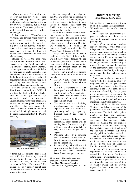After some time, I secured a new job. For the first few weeks I kept worrying that my new colleagues might be as unpleasant and uncaring as my previous colleagues, but they put me to shame. They were professional, kind, respectful people. My healing could begin.

I had contacted Whistleblowers Australia, and through them received help which proved invaluable, particularly advice that the underdosing error and the bullying were two separate issues and must be treated as such. Had I not done this I do not believe my disclosure would have been taken seriously.

Having discussed the case with WBA, I wrote a disclosure to the Chief Executive of the South Australian Department of Health, Tony Sherbon, claiming protection under the Whistleblowing Act of South Australia. The submission did not make reference to the bullying; it was a largely technical document outlining what had happened and asking that the doctors whose patients had been underdosed be told.

For two weeks I heard nothing. Then I was contacted by the DOH and told that they had verified my disclosure and would go public. My anonymity would be preserved. Several investigations were undertaken — news stories and press releases are available on the web (search for "Royal Adelaide Hospital radiation underdose" in Google news, or read the press announcements at the DOH's web site).



Royal Adelaide Hospital

It turns out the patients' doctors had been told. But despite my repeated attempts to find this out, I had not been told this — if I had, I would not have contacted the DOH. Nonetheless, I felt a huge sense of relief now that at least I knew that the patients' doctors were aware of the error.

After an independent investigation, the RAH was instructed to improve its protocols. And, if a potentially significant error happens in future, it must inform the hospital legal team (the RAH chose not to) and the SA Department of Health.

Since the disclosure, several errors in the treatment of cancer patients have received a lot of attention in the news (The incorrect dosage of chemotherapy patients at the Lyell McEwin Hospital was referred to as the "third health bungle in South Australia" in *The Herald Sun,* 18 December 2008.)

Lesley and Jones retain senior positions at the RAH. I have a job which I enjoy, with colleagues who are professional, respectful and kind, and I have recovered from the depression and PTSD brought about by the bullying and verbal abuse.

I have learnt a number of lessons which I would like to offer as food for thought.

- The SA Whistleblower's Act can provide protection for the whistleblower.
- The SA Department of Health investigated my submission fully and thoroughly. As a result, steps have been taken to decrease the likelihood of a similar error happening in future.
- The severe workplace bullying whistleblowers are sometimes exposed to can affect their lives profoundly and very negatively. Personal support can offer a lifeline.
- On witnessing bullying and harassment, most people will do nothing. But a few selected people will be prepared to offer help. It may not be the people you'd expect.
- Obtaining advice from someone with experience in the area on how to approach whistleblowing can be a great help.
- Because of my whistleblowing, I now know that the doctors of the patients who were underdosed know. I have no regrets. Not one.

All names in this article have been changed, including the author's. "Geraldine Macdonald" can be contacted at anon\_home@yahoo.co.uk

### **Internet filtering**

Brian Martin, *Whistle* editor

Internet filtering has been a hot topic in email exchanges among members of Whistleblowers Australia's national committee.

The Australian government proposes a scheme to block certain websites to prevent viewing of child pornography.

Some WBA committee members support filtering, saying that some things on the Internet — such as pornography, violence, bomb-making information and defamatory material — are so horrible or dangerous that they should be censored. They argue it is the government's responsibility to protect the most vulnerable members of the community, that censorship of the Internet is justified by this responsibility, and that few websites would be affected.

Opponents of filtering say that it won't work. For example, child pornographers seldom use open websites that could be blocked by the filtering scheme, but instead use email or other means not affected by the proposed plan. Opponents also argue that if the government has censorship power, it is likely to be used for political purposes. including against whistleblowers.

In the middle of this discussion Wikileaks published a version of the government's list of banned sites on its own website. The list included quite a number of legal and apparently innocuous sites. Supporters of the government plan condemned Wikileaks for making the list available whereas critics said this was what they had predicted, namely that leaking of the list was inevitable and would actually publicise the sites involved.

For more information, supporters of the scheme can consult the government's statements whereas critics can check out the sites of Electronic Frontiers Australia and GetUp.

In the WBA discussion, some supporters of filtering introduced a second line of argument: that Internet filtering is not a whistleblowing issue.

Other hot topics for discussion in recent months have been the definition of whistleblowing and the Dreyfus report. The latter is covered in this issue, pages 5-11.